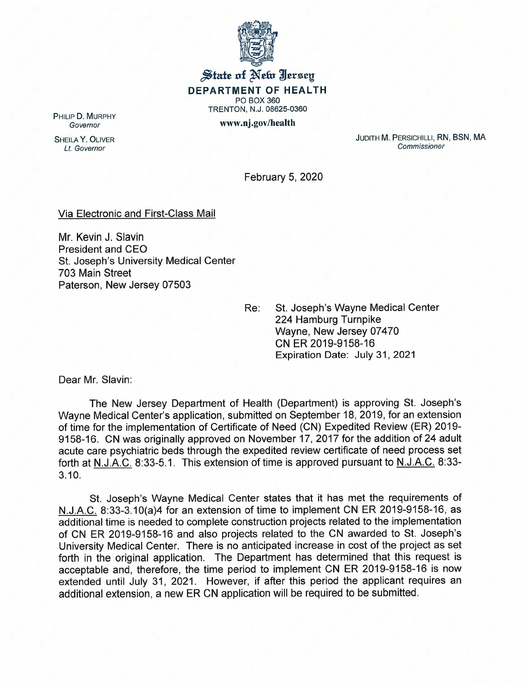

## $\frac{1}{2}$  state of Netw Iersey **DEPARTMENT OF HEALTH** PO BOX 360 TRENTON, N.J. 08625-0360 www.nj.gov/health

PHILIP D. MURPHY *Governor*

SHEILA Y. OLIVER *Lt. Governor*

JUDITH M. PERSICHILLI, RN, BSN, MA *Commissioner*

February 5, 2020

## Via Electronic and First-Class Mail

Mr. Kevin J. Slavin President and CEO St. Joseph's University Medical Center 703 Main Street Paterson, New Jersey 07503

> Re: St. Joseph's Wayne Medical Center 224 Hamburg Turnpike Wayne, New Jersey 07470 CN ER 2019-9158-16 Expiration Date: July 31, 2021

Dear Mr. Slavin:

The New Jersey Department of Health (Department) is approving St. Joseph's Wayne Medical Center's application, submitted on September 18, 2019, for an extension of time for the implementation of Certificate of Need (CN) Expedited Review (ER) 2019- 9158-16. CN was originally approved on November 17, 2017 for the addition of 24 adult acute care psychiatric beds through the expedited review certificate of need process set forth at N.J.A.C. 8:33-5.1. This extension of time is approved pursuant to N.J.A.C. 8:33- 3.10.

St. Joseph's Wayne Medical Center states that it has met the requirements of N.J.A.C. 8:33-3.10(a)4 for an extension of time to implement CN ER 2019-9158-16, as additional time is needed to complete construction projects related to the implementation of eN ER 2019-9158-16 and also projects related to the CN awarded to St. Joseph's University Medical Center. There is no anticipated increase in cost of the project as set forth in the original application. The Department has determined that this request is acceptable and, therefore, the time period to implement CN ER 2019-9158-16 is now extended until July 31, 2021. However, if after this period the applicant requires an additional extension, a new ER CN application will be required to be submitted.